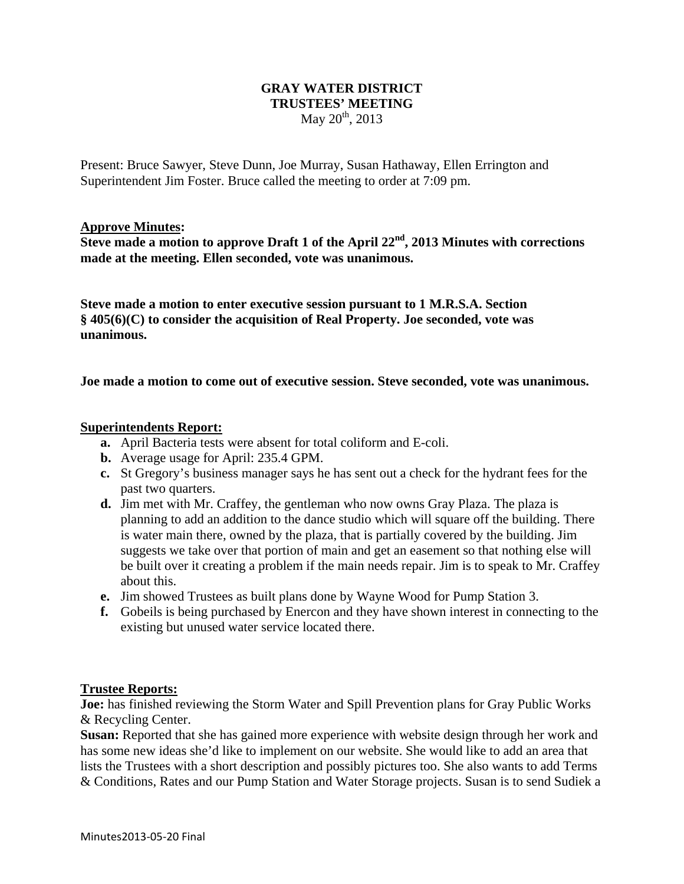## **GRAY WATER DISTRICT TRUSTEES' MEETING**  May  $20^{th}$ , 2013

Present: Bruce Sawyer, Steve Dunn, Joe Murray, Susan Hathaway, Ellen Errington and Superintendent Jim Foster. Bruce called the meeting to order at 7:09 pm.

### **Approve Minutes:**

**Steve made a motion to approve Draft 1 of the April 22nd, 2013 Minutes with corrections made at the meeting. Ellen seconded, vote was unanimous.** 

**Steve made a motion to enter executive session pursuant to 1 M.R.S.A. Section § 405(6)(C) to consider the acquisition of Real Property. Joe seconded, vote was unanimous.** 

**Joe made a motion to come out of executive session. Steve seconded, vote was unanimous.** 

#### **Superintendents Report:**

- **a.** April Bacteria tests were absent for total coliform and E-coli.
- **b.** Average usage for April: 235.4 GPM.
- **c.** St Gregory's business manager says he has sent out a check for the hydrant fees for the past two quarters.
- **d.** Jim met with Mr. Craffey, the gentleman who now owns Gray Plaza. The plaza is planning to add an addition to the dance studio which will square off the building. There is water main there, owned by the plaza, that is partially covered by the building. Jim suggests we take over that portion of main and get an easement so that nothing else will be built over it creating a problem if the main needs repair. Jim is to speak to Mr. Craffey about this.
- **e.** Jim showed Trustees as built plans done by Wayne Wood for Pump Station 3.
- **f.** Gobeils is being purchased by Enercon and they have shown interest in connecting to the existing but unused water service located there.

#### **Trustee Reports:**

**Joe:** has finished reviewing the Storm Water and Spill Prevention plans for Gray Public Works & Recycling Center.

**Susan:** Reported that she has gained more experience with website design through her work and has some new ideas she'd like to implement on our website. She would like to add an area that lists the Trustees with a short description and possibly pictures too. She also wants to add Terms & Conditions, Rates and our Pump Station and Water Storage projects. Susan is to send Sudiek a